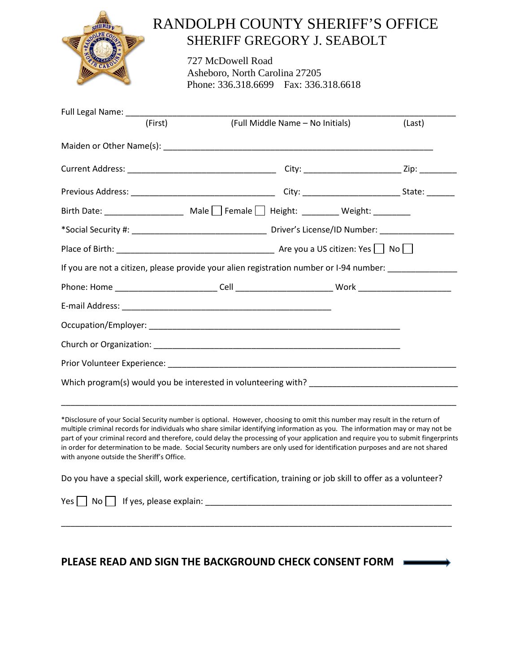

## RANDOLPH COUNTY SHERIFF'S OFFICE SHERIFF GREGORY J. SEABOLT

727 McDowell Road Asheboro, North Carolina 27205 Phone: 336.318.6699 Fax: 336.318.6618

| (First) | (Full Middle Name - No Initials)                                                                     | (Last) |
|---------|------------------------------------------------------------------------------------------------------|--------|
|         |                                                                                                      |        |
|         |                                                                                                      |        |
|         |                                                                                                      |        |
|         | Birth Date: ______________________ Male $\Box$ Female $\Box$ Height: ________ Weight: ________       |        |
|         |                                                                                                      |        |
|         |                                                                                                      |        |
|         | If you are not a citizen, please provide your alien registration number or I-94 number: ____________ |        |
|         |                                                                                                      |        |
|         |                                                                                                      |        |
|         |                                                                                                      |        |
|         |                                                                                                      |        |
|         |                                                                                                      |        |
|         |                                                                                                      |        |
|         |                                                                                                      |        |

\*Disclosure of your Social Security number is optional. However, choosing to omit this number may result in the return of multiple criminal records for individuals who share similar identifying information as you. The information may or may not be part of your criminal record and therefore, could delay the processing of your application and require you to submit fingerprints in order for determination to be made. Social Security numbers are only used for identification purposes and are not shared with anyone outside the Sheriff's Office.

Do you have a special skill, work experience, certification, training or job skill to offer as a volunteer?

\_\_\_\_\_\_\_\_\_\_\_\_\_\_\_\_\_\_\_\_\_\_\_\_\_\_\_\_\_\_\_\_\_\_\_\_\_\_\_\_\_\_\_\_\_\_\_\_\_\_\_\_\_\_\_\_\_\_\_\_\_\_\_\_\_\_\_\_\_\_\_\_\_\_\_\_\_\_\_\_\_\_\_\_

|  | Yes $\Box$ No $\Box$ If yes, please explain: |  |
|--|----------------------------------------------|--|
|  |                                              |  |

## **PLEASE READ AND SIGN THE BACKGROUND CHECK CONSENT FORM**